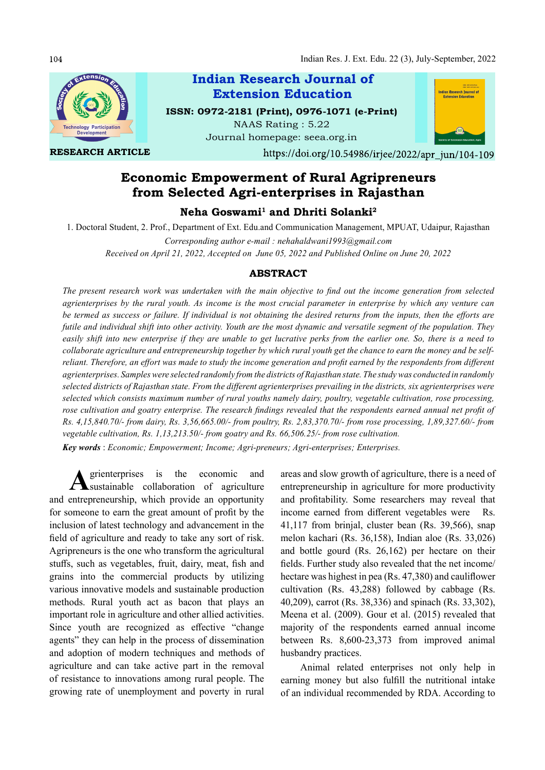104



RESEARCH ARTICLE



Journal homepage: seea.org.in



https://doi.org/10.54986/irjee/2022/apr jun/104-109

# Economic Empowerment of Rural Agripreneurs from Selected Agri-enterprises in Rajasthan

 $\bf{Neha~Goswami^1~and~Dhriti~Solanki^2}$ 

1. Doctoral Student, 2. Prof., Department of Ext. Edu.and Communication Management, MPUAT, Udaipur, Rajasthan

Corresponding author e-mail : nehahaldwani1993@gmail.com Received on April 21, 2022, Accepted on June 05, 2022 and Published Online on June 20, 2022

## ABSTRACT

The present research work was undertaken with the main objective to find out the income generation from selected agrienterprises by the rural youth. As income is the most crucial parameter in enterprise by which any venture can be termed as success or failure. If individual is not obtaining the desired returns from the inputs, then the efforts are futile and individual shift into other activity. Youth are the most dynamic and versatile segment of the population. They easily shift into new enterprise if they are unable to get lucrative perks from the earlier one. So, there is a need to collaborate agriculture and entrepreneurship together by which rural youth get the chance to earn the money and be selfreliant. Therefore, an effort was made to study the income generation and profit earned by the respondents from different agrienterprises. Samples were selected randomly from the districts of Rajasthan state. The study was conducted in randomly selected districts of Rajasthan state. From the different agrienterprises prevailing in the districts, six agrienterprises were selected which consists maximum number of rural youths namely dairy, poultry, vegetable cultivation, rose processing, rose cultivation and goatry enterprise. The research findings revealed that the respondents earned annual net profit of Rs. 4,15,840.70/- from dairy, Rs. 3,56,665.00/- from poultry, Rs. 2,83,370.70/- from rose processing, 1,89,327.60/- from vegetable cultivation, Rs. 1,13,213.50/- from goatry and Rs. 66,506.25/- from rose cultivation.

Key words : Economic; Empowerment; Income; Agri-preneurs; Agri-enterprises; Enterprises.

A grienterprises is the economic and areas and slow<br>sustainable collaboration of agriculture entrepreneursh and entrepreneurship, which provide an opportunity for someone to earn the great amount of profit by the inclusion of latest technology and advancement in the field of agriculture and ready to take any sort of risk. Agripreneurs is the one who transform the agricultural stuffs, such as vegetables, fruit, dairy, meat, fish and grains into the commercial products by utilizing various innovative models and sustainable production methods. Rural youth act as bacon that plays an important role in agriculture and other allied activities. Since youth are recognized as effective "change" agents" they can help in the process of dissemination and adoption of modern techniques and methods of agriculture and can take active part in the removal of resistance to innovations among rural people. The growing rate of unemployment and poverty in rural

grienterprises is the economic and areas and slow growth of agriculture, there is a need of entrepreneurship in agriculture for more productivity and profitability. Some researchers may reveal that income earned from different vegetables were Rs. 41,117 from brinjal, cluster bean (Rs. 39,566), snap melon kachari (Rs. 36,158), Indian aloe (Rs. 33,026) and bottle gourd (Rs. 26,162) per hectare on their fields. Further study also revealed that the net income/ hectare was highest in pea  $(Rs. 47,380)$  and cauliflower cultivation (Rs. 43,288) followed by cabbage (Rs. 40,209), carrot (Rs. 38,336) and spinach (Rs. 33,302), Meena et al. (2009). Gour et al. (2015) revealed that majority of the respondents earned annual income between Rs. 8,600-23,373 from improved animal husbandry practices.

> Animal related enterprises not only help in earning money but also fulfill the nutritional intake of an individual recommended by RDA. According to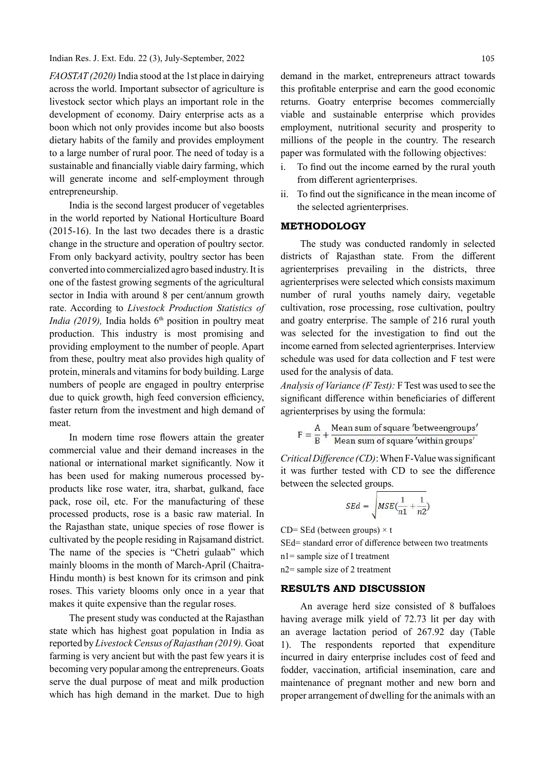Indian Res. J. Ext. Edu. 22 (3), July-September, 2022

FAOSTAT (2020) India stood at the 1st place in dairying across the world. Important subsector of agriculture is livestock sector which plays an important role in the development of economy. Dairy enterprise acts as a boon which not only provides income but also boosts dietary habits of the family and provides employment to a large number of rural poor. The need of today is a sustainable and financially viable dairy farming, which  $\vec{i}$ . will generate income and self-employment through entrepreneurship.

India is the second largest producer of vegetables in the world reported by National Horticulture Board (2015-16). In the last two decades there is a drastic change in the structure and operation of poultry sector. From only backyard activity, poultry sector has been converted into commercialized agro based industry. It is one of the fastest growing segments of the agricultural sector in India with around 8 per cent/annum growth rate. According to Livestock Production Statistics of India (2019), India holds  $6<sup>th</sup>$  position in poultry meat production. This industry is most promising and providing employment to the number of people. Apart from these, poultry meat also provides high quality of protein, minerals and vitamins for body building. Large numbers of people are engaged in poultry enterprise due to quick growth, high feed conversion efficiency, faster return from the investment and high demand of meat.

In modern time rose flowers attain the greater commercial value and their demand increases in the national or international market significantly. Now it has been used for making numerous processed byproducts like rose water, itra, sharbat, gulkand, face pack, rose oil, etc. For the manufacturing of these processed products, rose is a basic raw material. In the Rajasthan state, unique species of rose flower is cultivated by the people residing in Rajsamand district. The name of the species is "Chetri gulaab" which mainly blooms in the month of March-April (Chaitra-Hindu month) is best known for its crimson and pink roses. This variety blooms only once in a year that makes it quite expensive than the regular roses.

The present study was conducted at the Rajasthan state which has highest goat population in India as reported by Livestock Census of Rajasthan (2019). Goat farming is very ancient but with the past few years it is becoming very popular among the entrepreneurs. Goats serve the dual purpose of meat and milk production which has high demand in the market. Due to high

demand in the market, entrepreneurs attract towards this profitable enterprise and earn the good economic returns. Goatry enterprise becomes commercially viable and sustainable enterprise which provides employment, nutritional security and prosperity to millions of the people in the country. The research paper was formulated with the following objectives:

- To find out the income earned by the rural youth from different agrienterprises.
- ii. To find out the significance in the mean income of the selected agrienterprises.

## METHODOLOGY

The study was conducted randomly in selected districts of Rajasthan state. From the different agrienterprises prevailing in the districts, three agrienterprises were selected which consists maximum number of rural youths namely dairy, vegetable cultivation, rose processing, rose cultivation, poultry and goatry enterprise. The sample of 216 rural youth was selected for the investigation to find out the income earned from selected agrienterprises. Interview schedule was used for data collection and F test were used for the analysis of data.

Analysis of Variance (F Test): F Test was used to see the significant difference within beneficiaries of different agrienterprises by using the formula:

$$
F = \frac{A}{B} + \frac{Mean \, sum \, of \, square' between groups'}{Mean \, sum \, of \, square' within \, groups'}
$$

Critical Difference  $(CD)$ : When F-Value was significant it was further tested with CD to see the difference between the selected groups.

$$
SEd = \sqrt{MSE(\frac{1}{n1} + \frac{1}{n2})}
$$

CD= SEd (between groups)  $\times$  t

SEd= standard error of difference between two treatments

n1= sample size of I treatment

n2= sample size of 2 treatment

#### RESULTS AND DISCUSSION

An average herd size consisted of 8 buffaloes having average milk yield of 72.73 lit per day with an average lactation period of 267.92 day (Table 1). The respondents reported that expenditure incurred in dairy enterprise includes cost of feed and fodder, vaccination, artificial insemination, care and maintenance of pregnant mother and new born and proper arrangement of dwelling for the animals with an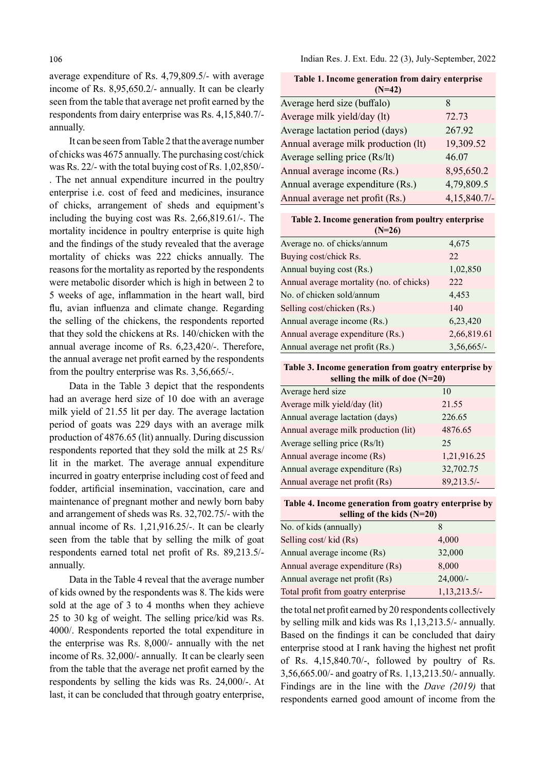average expenditure of Rs. 4,79,809.5/- with average income of Rs. 8,95,650.2/- annually. It can be clearly seen from the table that average net profit earned by the respondents from dairy enterprise was Rs. 4,15,840.7/ annually.

It can be seen from Table 2 that the average number of chicks was 4675 annually. The purchasing cost/chick was Rs. 22/- with the total buying cost of Rs. 1,02,850/- . The net annual expenditure incurred in the poultry enterprise i.e. cost of feed and medicines, insurance of chicks, arrangement of sheds and equipment's including the buying cost was Rs. 2,66,819.61/-. The mortality incidence in poultry enterprise is quite high and the findings of the study revealed that the average mortality of chicks was 222 chicks annually. The reasons for the mortality as reported by the respondents were metabolic disorder which is high in between 2 to 5 weeks of age, inflammation in the heart wall, bird flu, avian influenza and climate change. Regarding the selling of the chickens, the respondents reported that they sold the chickens at Rs. 140/chicken with the annual average income of Rs. 6,23,420/-. Therefore, the annual average net profit earned by the respondents from the poultry enterprise was Rs. 3,56,665/-.

Data in the Table 3 depict that the respondents had an average herd size of 10 doe with an average milk yield of 21.55 lit per day. The average lactation period of goats was 229 days with an average milk production of 4876.65 (lit) annually. During discussion respondents reported that they sold the milk at 25 Rs/ lit in the market. The average annual expenditure incurred in goatry enterprise including cost of feed and fodder, artificial insemination, vaccination, care and maintenance of pregnant mother and newly born baby and arrangement of sheds was Rs. 32,702.75/- with the annual income of Rs. 1,21,916.25/-. It can be clearly seen from the table that by selling the milk of goat respondents earned total net profit of Rs. 89,213.5/annually.

Data in the Table 4 reveal that the average number of kids owned by the respondents was 8. The kids were sold at the age of 3 to 4 months when they achieve 25 to 30 kg of weight. The selling price/kid was Rs. 4000/. Respondents reported the total expenditure in the enterprise was Rs. 8,000/- annually with the net income of Rs. 32,000/- annually. It can be clearly seen from the table that the average net profit earned by the respondents by selling the kids was Rs. 24,000/-. At last, it can be concluded that through goatry enterprise,

Indian Res. J. Ext. Edu. 22 (3), July-September, 2022

| Table 1. Income generation from dairy enterprise<br>$(N=42)$ |              |  |
|--------------------------------------------------------------|--------------|--|
| Average herd size (buffalo)                                  | 8            |  |
| Average milk yield/day (lt)                                  | 72.73        |  |
| Average lactation period (days)                              | 267.92       |  |
| Annual average milk production (lt)                          | 19,309.52    |  |
| Average selling price (Rs/lt)                                | 46.07        |  |
| Annual average income (Rs.)                                  | 8,95,650.2   |  |
| Annual average expenditure (Rs.)                             | 4,79,809.5   |  |
| Annual average net profit (Rs.)                              | 4,15,840.7/- |  |

| Table 2. Income generation from poultry enterprise |              |  |  |
|----------------------------------------------------|--------------|--|--|
| $(N=26)$                                           |              |  |  |
| Average no. of chicks/annum                        | 4,675        |  |  |
| Buying cost/chick Rs.                              | 22.          |  |  |
| Annual buying cost (Rs.)                           | 1,02,850     |  |  |
| Annual average mortality (no. of chicks)           | 222          |  |  |
| No. of chicken sold/annum                          | 4,453        |  |  |
| Selling cost/chicken (Rs.)                         | 140          |  |  |
| Annual average income (Rs.)                        | 6,23,420     |  |  |
| Annual average expenditure (Rs.)                   | 2,66,819.61  |  |  |
| Annual average net profit (Rs.)                    | $3,56,665/-$ |  |  |

Table 3. Income generation from goatry enterprise by selling the milk of doe (N=20)

| Average herd size                    | 10          |
|--------------------------------------|-------------|
| Average milk yield/day (lit)         | 21.55       |
| Annual average lactation (days)      | 226.65      |
| Annual average milk production (lit) | 4876.65     |
| Average selling price (Rs/lt)        | 25          |
| Annual average income (Rs)           | 1,21,916.25 |
| Annual average expenditure (Rs)      | 32,702.75   |
| Annual average net profit (Rs)       | 89,213.5/-  |

Table 4. Income generation from goatry enterprise by selling of the kids (N=20)

| No. of kids (annually)              |              |
|-------------------------------------|--------------|
| Selling cost/kid (Rs)               | 4,000        |
| Annual average income (Rs)          | 32,000       |
| Annual average expenditure (Rs)     | 8,000        |
| Annual average net profit (Rs)      | $24,000/-$   |
| Total profit from goatry enterprise | 1,13,213.5/- |

the total net profit earned by 20 respondents collectively by selling milk and kids was Rs 1,13,213.5/- annually. Based on the findings it can be concluded that dairy enterprise stood at I rank having the highest net profit of Rs. 4,15,840.70/-, followed by poultry of Rs. 3,56,665.00/- and goatry of Rs. 1,13,213.50/- annually. Findings are in the line with the Dave (2019) that respondents earned good amount of income from the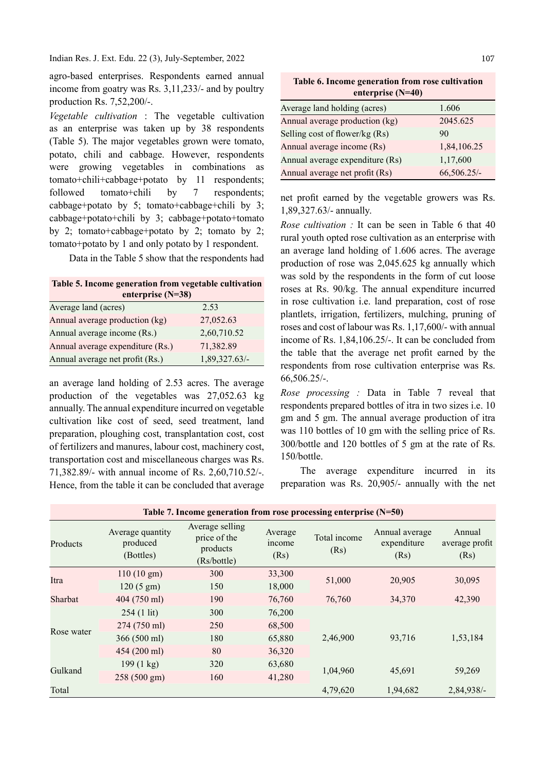Indian Res. J. Ext. Edu. 22 (3), July-September, 2022

agro-based enterprises. Respondents earned annual income from goatry was Rs. 3,11,233/- and by poultry production Rs. 7,52,200/-.

Vegetable cultivation : The vegetable cultivation as an enterprise was taken up by 38 respondents (Table 5). The major vegetables grown were tomato, potato, chili and cabbage. However, respondents were growing vegetables in combinations as tomato+chili+cabbage+potato by 11 respondents; followed tomato+chili by 7 respondents; cabbage+potato by 5; tomato+cabbage+chili by 3; cabbage+potato+chili by 3; cabbage+potato+tomato by 2; tomato+cabbage+potato by 2; tomato by 2; tomato+potato by 1 and only potato by 1 respondent.

Data in the Table 5 show that the respondents had

Table 5. Income generation from vegetable cultivation enterprise (N=38)

| Average land (acres)             | 2.53          |
|----------------------------------|---------------|
| Annual average production (kg)   | 27,052.63     |
| Annual average income (Rs.)      | 2,60,710.52   |
| Annual average expenditure (Rs.) | 71,382.89     |
| Annual average net profit (Rs.)  | 1,89,327.63/- |

an average land holding of 2.53 acres. The average production of the vegetables was 27,052.63 kg annually. The annual expenditure incurred on vegetable cultivation like cost of seed, seed treatment, land preparation, ploughing cost, transplantation cost, cost of fertilizers and manures, labour cost, machinery cost, transportation cost and miscellaneous charges was Rs. 71,382.89/- with annual income of Rs. 2,60,710.52/-. Hence, from the table it can be concluded that average

Table 6. Income generation from rose cultivation enterprise (N=40)

| Average land holding (acres)    | 1.606       |
|---------------------------------|-------------|
| Annual average production (kg)  | 2045.625    |
| Selling cost of flower/kg (Rs)  | 90          |
| Annual average income (Rs)      | 1,84,106.25 |
| Annual average expenditure (Rs) | 1,17,600    |
| Annual average net profit (Rs)  | 66,506.25/- |

net profit earned by the vegetable growers was Rs. 1,89,327.63/- annually.

Rose cultivation : It can be seen in Table 6 that 40 rural youth opted rose cultivation as an enterprise with an average land holding of 1.606 acres. The average production of rose was 2,045.625 kg annually which was sold by the respondents in the form of cut loose roses at Rs. 90/kg. The annual expenditure incurred in rose cultivation i.e. land preparation, cost of rose plantlets, irrigation, fertilizers, mulching, pruning of roses and cost of labour was Rs. 1,17,600/- with annual income of Rs. 1,84,106.25/-. It can be concluded from the table that the average net profit earned by the respondents from rose cultivation enterprise was Rs. 66,506.25/-.

Rose processing : Data in Table 7 reveal that respondents prepared bottles of itra in two sizes i.e. 10 gm and 5 gm. The annual average production of itra was 110 bottles of 10 gm with the selling price of Rs. 300/bottle and 120 bottles of 5 gm at the rate of Rs. 150/bottle.

The average expenditure incurred in its preparation was Rs. 20,905/- annually with the net

| Table $\ell$ , income generation from rose processing enterprise $(15-30)$ |                                           |                                                            |                                  |                      |                                       |                                  |
|----------------------------------------------------------------------------|-------------------------------------------|------------------------------------------------------------|----------------------------------|----------------------|---------------------------------------|----------------------------------|
| Products                                                                   | Average quantity<br>produced<br>(Bottles) | Average selling<br>price of the<br>products<br>(Rs/bottle) | Average<br><i>n</i> come<br>(Rs) | Total income<br>(Rs) | Annual average<br>expenditure<br>(Rs) | Annual<br>average profit<br>(Rs) |
|                                                                            | $110(10 \text{ gm})$                      | 300                                                        | 33,300                           | 51,000               | 20,905                                | 30,095                           |
| Itra                                                                       | $120(5 \text{ gm})$                       | 150                                                        | 18,000                           |                      |                                       |                                  |
| Sharbat                                                                    | 404 (750 ml)                              | 190                                                        | 76,760                           | 76,760               | 34,370                                | 42,390                           |
|                                                                            | $254(1 \text{ lit})$                      | 300                                                        | 76,200                           |                      |                                       |                                  |
|                                                                            | 274 (750 ml)                              | 250                                                        | 68,500                           |                      |                                       |                                  |
| Rose water                                                                 | 366 (500 ml)                              | 180                                                        | 65,880                           | 2,46,900             | 93.716                                | 1,53,184                         |
|                                                                            | 454 (200 ml)                              | 80                                                         | 36,320                           |                      |                                       |                                  |
| Gulkand                                                                    | $199(1 \text{ kg})$                       | 320                                                        | 63,680                           |                      | 45,691                                | 59,269                           |
|                                                                            | 258 (500 gm)                              | 160                                                        | 41,280                           | 1,04,960             |                                       |                                  |
| Total                                                                      |                                           |                                                            |                                  | 4,79,620             | 1,94,682                              | $2,84,938/-$                     |

| Table 7. Income generation from rose processing enterprise $(N=50)$ |  |
|---------------------------------------------------------------------|--|
|                                                                     |  |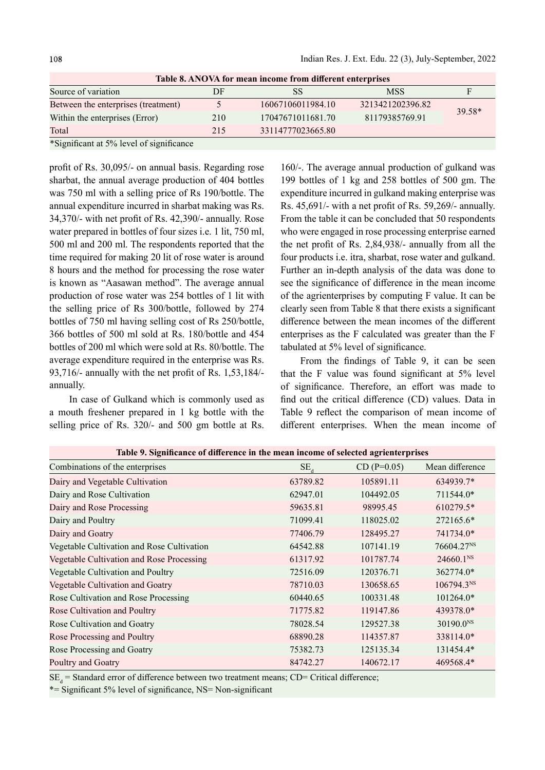| Table 8. ANOVA for mean income from different enterprises |     |                   |                  |          |  |
|-----------------------------------------------------------|-----|-------------------|------------------|----------|--|
| Source of variation                                       | DF  | SS                | <b>MSS</b>       |          |  |
| Between the enterprises (treatment)                       |     | 16067106011984.10 | 3213421202396.82 |          |  |
| Within the enterprises (Error)                            | 210 | 17047671011681.70 | 81179385769.91   | $39.58*$ |  |
| Total                                                     | 215 | 33114777023665.80 |                  |          |  |
| $\cdots$<br>$\cdot$ $\sim$                                |     |                   |                  |          |  |

Table 8. ANOVA for mean income from different enterprises

\*Significant at 5% level of significance

profit of Rs. 30,095/- on annual basis. Regarding rose sharbat, the annual average production of 404 bottles was 750 ml with a selling price of Rs 190/bottle. The annual expenditure incurred in sharbat making was Rs. 34,370/- with net profit of Rs. 42,390/- annually. Rose water prepared in bottles of four sizes i.e. 1 lit, 750 ml, 500 ml and 200 ml. The respondents reported that the time required for making 20 lit of rose water is around 8 hours and the method for processing the rose water is known as "Aasawan method". The average annual production of rose water was 254 bottles of 1 lit with the selling price of Rs 300/bottle, followed by 274 bottles of 750 ml having selling cost of Rs 250/bottle, 366 bottles of 500 ml sold at Rs. 180/bottle and 454 bottles of 200 ml which were sold at Rs. 80/bottle. The average expenditure required in the enterprise was Rs. 93,716/- annually with the net profit of Rs.  $1,53,184/$ annually.

In case of Gulkand which is commonly used as a mouth freshener prepared in 1 kg bottle with the selling price of Rs. 320/- and 500 gm bottle at Rs.

160/-. The average annual production of gulkand was 199 bottles of 1 kg and 258 bottles of 500 gm. The expenditure incurred in gulkand making enterprise was Rs.  $45,691/$ - with a net profit of Rs.  $59,269/$ - annually. From the table it can be concluded that 50 respondents who were engaged in rose processing enterprise earned the net profit of Rs. 2,84,938/- annually from all the four products i.e. itra, sharbat, rose water and gulkand. Further an in-depth analysis of the data was done to see the significance of difference in the mean income of the agrienterprises by computing F value. It can be clearly seen from Table 8 that there exists a significant difference between the mean incomes of the different enterprises as the F calculated was greater than the F tabulated at 5% level of significance.

From the findings of Table 9, it can be seen that the F value was found significant at  $5\%$  level of significance. Therefore, an effort was made to find out the critical difference (CD) values. Data in Table 9 reflect the comparison of mean income of different enterprises. When the mean income of

| Table 9. Significance of difference in the mean income of selected agrienterprises |          |               |                        |  |  |
|------------------------------------------------------------------------------------|----------|---------------|------------------------|--|--|
| Combinations of the enterprises                                                    | $SE_{d}$ | $CD (P=0.05)$ | Mean difference        |  |  |
| Dairy and Vegetable Cultivation                                                    | 63789.82 | 105891.11     | 634939.7*              |  |  |
| Dairy and Rose Cultivation                                                         | 62947.01 | 104492.05     | 711544.0*              |  |  |
| Dairy and Rose Processing                                                          | 59635.81 | 98995.45      | 610279.5*              |  |  |
| Dairy and Poultry                                                                  | 71099.41 | 118025.02     | 272165.6*              |  |  |
| Dairy and Goatry                                                                   | 77406.79 | 128495.27     | 741734.0*              |  |  |
| Vegetable Cultivation and Rose Cultivation                                         | 64542.88 | 107141.19     | 76604.27 <sup>NS</sup> |  |  |
| Vegetable Cultivation and Rose Processing                                          | 61317.92 | 101787.74     | 24660.1 <sup>NS</sup>  |  |  |
| Vegetable Cultivation and Poultry                                                  | 72516.09 | 120376.71     | 362774.0*              |  |  |
| Vegetable Cultivation and Goatry                                                   | 78710.03 | 130658.65     | 106794.3NS             |  |  |
| Rose Cultivation and Rose Processing                                               | 60440.65 | 100331.48     | 101264.0*              |  |  |
| Rose Cultivation and Poultry                                                       | 71775.82 | 119147.86     | 439378.0*              |  |  |
| Rose Cultivation and Goatry                                                        | 78028.54 | 129527.38     | 30190.0 <sup>NS</sup>  |  |  |
| Rose Processing and Poultry                                                        | 68890.28 | 114357.87     | 338114.0*              |  |  |
| Rose Processing and Goatry                                                         | 75382.73 | 125135.34     | 131454.4*              |  |  |
| Poultry and Goatry                                                                 | 84742.27 | 140672.17     | 469568.4*              |  |  |

 $SE_d$  = Standard error of difference between two treatment means; CD= Critical difference;

 $*$ = Significant 5% level of significance, NS= Non-significant